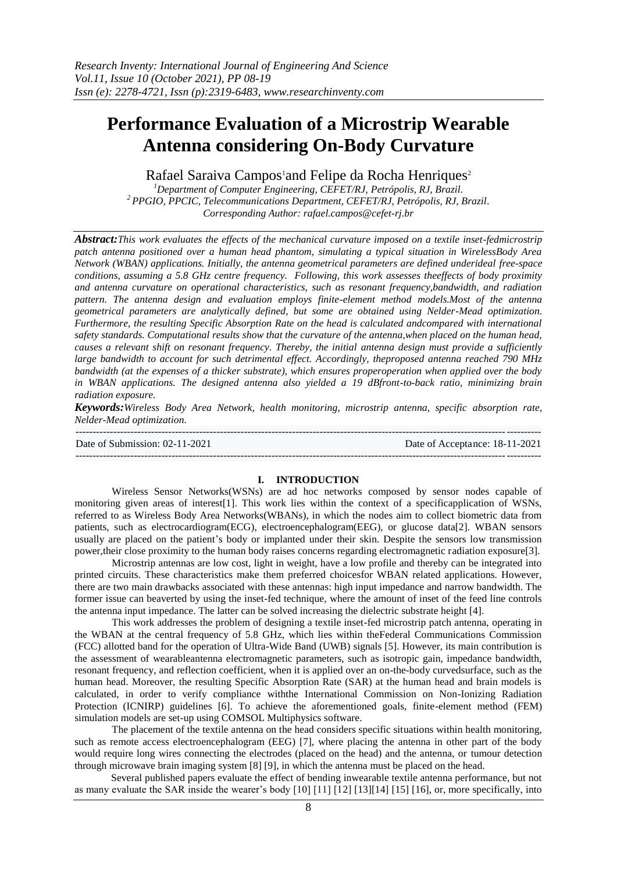# **Performance Evaluation of a Microstrip Wearable Antenna considering On-Body Curvature**

Rafael Saraiva Campos<sup>1</sup>and Felipe da Rocha Henriques<sup>2</sup>

*<sup>1</sup>Department of Computer Engineering, CEFET/RJ, Petrópolis, RJ, Brazil. <sup>2</sup>PPGIO, PPCIC, Telecommunications Department, CEFET/RJ, Petrópolis, RJ, Brazil. Corresponding Author: rafael.campos@cefet-rj.br*

*Abstract:This work evaluates the effects of the mechanical curvature imposed on a textile inset-fedmicrostrip patch antenna positioned over a human head phantom, simulating a typical situation in WirelessBody Area Network (WBAN) applications. Initially, the antenna geometrical parameters are defined underideal free-space conditions, assuming a 5.8 GHz centre frequency. Following, this work assesses theeffects of body proximity and antenna curvature on operational characteristics, such as resonant frequency,bandwidth, and radiation pattern. The antenna design and evaluation employs finite-element method models.Most of the antenna geometrical parameters are analytically defined, but some are obtained using Nelder-Mead optimization. Furthermore, the resulting Specific Absorption Rate on the head is calculated andcompared with international safety standards. Computational results show that the curvature of the antenna,when placed on the human head, causes a relevant shift on resonant frequency. Thereby, the initial antenna design must provide a sufficiently large bandwidth to account for such detrimental effect. Accordingly, theproposed antenna reached 790 MHz bandwidth (at the expenses of a thicker substrate), which ensures properoperation when applied over the body in WBAN applications. The designed antenna also yielded a 19 dBfront-to-back ratio, minimizing brain radiation exposure.*

*Keywords:Wireless Body Area Network, health monitoring, microstrip antenna, specific absorption rate, Nelder-Mead optimization.*

--------------------------------------------------------------------------------------------------------------------------------------- Date of Submission: 02-11-2021 Date of Acceptance: 18-11-2021  $-1\leq i\leq n-1$ 

#### **I. INTRODUCTION**

Wireless Sensor Networks(WSNs) are ad hoc networks composed by sensor nodes capable of monitoring given areas of interest[1]. This work lies within the context of a specificapplication of WSNs, referred to as Wireless Body Area Networks(WBANs), in which the nodes aim to collect biometric data from patients, such as electrocardiogram(ECG), electroencephalogram(EEG), or glucose data[2]. WBAN sensors usually are placed on the patient's body or implanted under their skin. Despite the sensors low transmission power,their close proximity to the human body raises concerns regarding electromagnetic radiation exposure[3].

Microstrip antennas are low cost, light in weight, have a low profile and thereby can be integrated into printed circuits. These characteristics make them preferred choicesfor WBAN related applications. However, there are two main drawbacks associated with these antennas: high input impedance and narrow bandwidth. The former issue can beaverted by using the inset-fed technique, where the amount of inset of the feed line controls the antenna input impedance. The latter can be solved increasing the dielectric substrate height [4].

This work addresses the problem of designing a textile inset-fed microstrip patch antenna, operating in the WBAN at the central frequency of 5.8 GHz, which lies within theFederal Communications Commission (FCC) allotted band for the operation of Ultra-Wide Band (UWB) signals [5]. However, its main contribution is the assessment of wearableantenna electromagnetic parameters, such as isotropic gain, impedance bandwidth, resonant frequency, and reflection coefficient, when it is applied over an on-the-body curvedsurface, such as the human head. Moreover, the resulting Specific Absorption Rate (SAR) at the human head and brain models is calculated, in order to verify compliance withthe International Commission on Non-Ionizing Radiation Protection (ICNIRP) guidelines [6]. To achieve the aforementioned goals, finite-element method (FEM) simulation models are set-up using COMSOL Multiphysics software.

The placement of the textile antenna on the head considers specific situations within health monitoring, such as remote access electroencephalogram (EEG) [7], where placing the antenna in other part of the body would require long wires connecting the electrodes (placed on the head) and the antenna, or tumour detection through microwave brain imaging system [8] [9], in which the antenna must be placed on the head.

Several published papers evaluate the effect of bending inwearable textile antenna performance, but not as many evaluate the SAR inside the wearer's body [10] [11] [12] [13][14] [15] [16], or, more specifically, into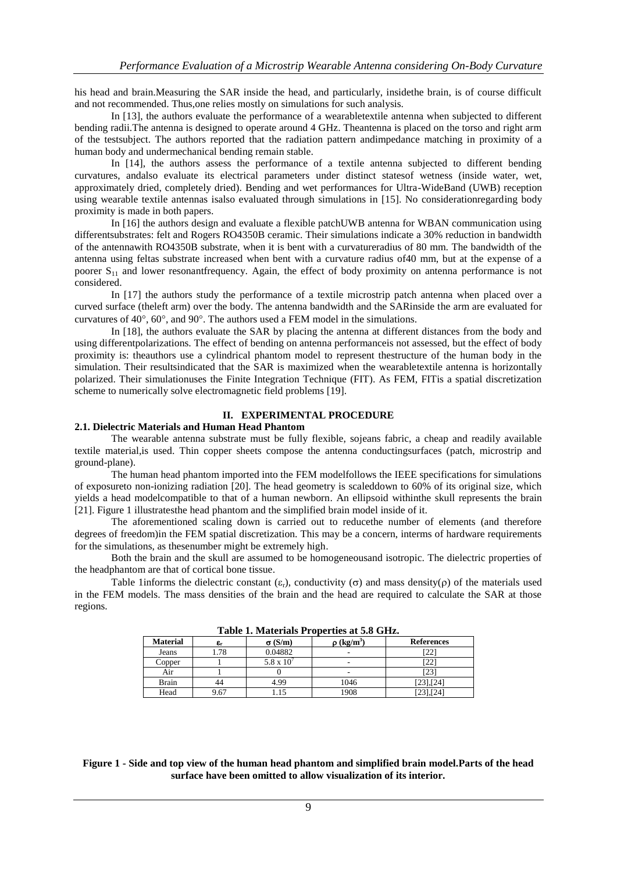his head and brain.Measuring the SAR inside the head, and particularly, insidethe brain, is of course difficult and not recommended. Thus,one relies mostly on simulations for such analysis.

In [13], the authors evaluate the performance of a wearabletextile antenna when subjected to different bending radii.The antenna is designed to operate around 4 GHz. Theantenna is placed on the torso and right arm of the testsubject. The authors reported that the radiation pattern andimpedance matching in proximity of a human body and undermechanical bending remain stable.

In [14], the authors assess the performance of a textile antenna subjected to different bending curvatures, andalso evaluate its electrical parameters under distinct statesof wetness (inside water, wet, approximately dried, completely dried). Bending and wet performances for Ultra-WideBand (UWB) reception using wearable textile antennas isalso evaluated through simulations in [15]. No considerationregarding body proximity is made in both papers.

In [16] the authors design and evaluate a flexible patchUWB antenna for WBAN communication using differentsubstrates: felt and Rogers RO4350B ceramic. Their simulations indicate a 30% reduction in bandwidth of the antennawith RO4350B substrate, when it is bent with a curvatureradius of 80 mm. The bandwidth of the antenna using feltas substrate increased when bent with a curvature radius of40 mm, but at the expense of a poorer  $S_{11}$  and lower resonantfrequency. Again, the effect of body proximity on antenna performance is not considered.

In [17] the authors study the performance of a textile microstrip patch antenna when placed over a curved surface (theleft arm) over the body. The antenna bandwidth and the SARinside the arm are evaluated for curvatures of  $40^{\circ}$ ,  $60^{\circ}$ , and  $90^{\circ}$ . The authors used a FEM model in the simulations.

In [18], the authors evaluate the SAR by placing the antenna at different distances from the body and using differentpolarizations. The effect of bending on antenna performanceis not assessed, but the effect of body proximity is: theauthors use a cylindrical phantom model to represent thestructure of the human body in the simulation. Their resultsindicated that the SAR is maximized when the wearabletextile antenna is horizontally polarized. Their simulationuses the Finite Integration Technique (FIT). As FEM, FITis a spatial discretization scheme to numerically solve electromagnetic field problems [19].

### **II. EXPERIMENTAL PROCEDURE**

# **2.1. Dielectric Materials and Human Head Phantom**

The wearable antenna substrate must be fully flexible, sojeans fabric, a cheap and readily available textile material,is used. Thin copper sheets compose the antenna conductingsurfaces (patch, microstrip and ground-plane).

The human head phantom imported into the FEM modelfollows the IEEE specifications for simulations of exposureto non-ionizing radiation [20]. The head geometry is scaleddown to 60% of its original size, which yields a head modelcompatible to that of a human newborn. An ellipsoid withinthe skull represents the brain [21]. Figure 1 illustratesthe head phantom and the simplified brain model inside of it.

The aforementioned scaling down is carried out to reducethe number of elements (and therefore degrees of freedom)in the FEM spatial discretization. This may be a concern, interms of hardware requirements for the simulations, as thesenumber might be extremely high.

Both the brain and the skull are assumed to be homogeneousand isotropic. The dielectric properties of the headphantom are that of cortical bone tissue.

Table 1informs the dielectric constant  $(\epsilon_r)$ , conductivity ( $\sigma$ ) and mass density( $\rho$ ) of the materials used in the FEM models. The mass densities of the brain and the head are required to calculate the SAR at those regions.

| <b>Material</b> | $\epsilon_{\rm r}$ | $\sigma$ (S/m)  | $(kg/m^3)$ | <b>References</b> |  |
|-----------------|--------------------|-----------------|------------|-------------------|--|
| Jeans           | .78                | 0.04882         | -          | 22                |  |
| Copper          |                    | $5.8 \times 10$ | -          | '22               |  |
| Air             |                    |                 | ۰          | [23]              |  |
| <b>Brain</b>    |                    | 4.99            | 1046       | [23], [24]        |  |
| Head            | 9.67               |                 | 1908       | [23],[24]         |  |

**Table 1. Materials Properties at 5.8 GHz.**

**Figure 1 - Side and top view of the human head phantom and simplified brain model.Parts of the head surface have been omitted to allow visualization of its interior.**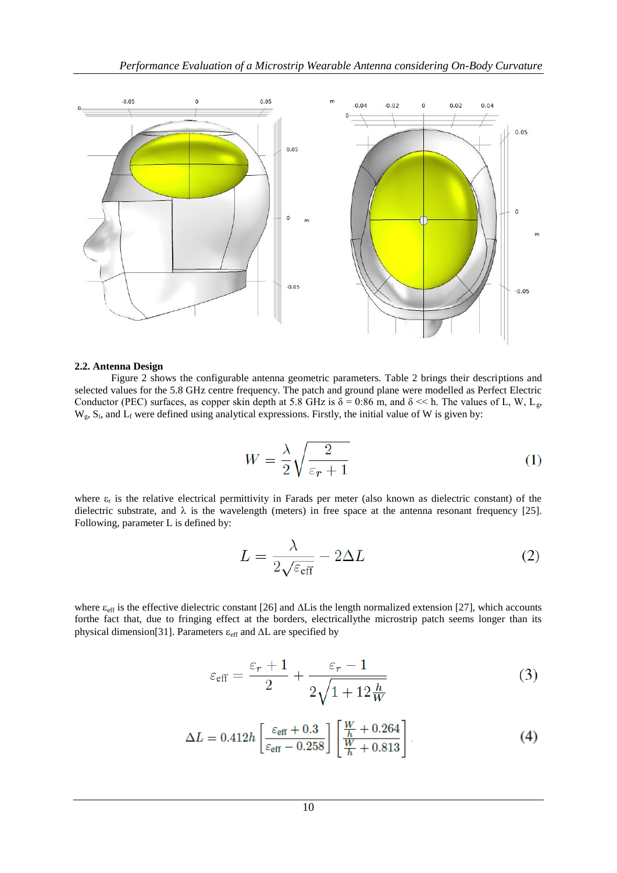

#### **2.2. Antenna Design**

Figure 2 shows the configurable antenna geometric parameters. Table 2 brings their descriptions and selected values for the 5.8 GHz centre frequency. The patch and ground plane were modelled as Perfect Electric Conductor (PEC) surfaces, as copper skin depth at 5.8 GHz is  $\delta = 0.86$  m, and  $\delta \ll$  h. The values of L, W, L<sub>g</sub>,  $W_g$ ,  $S_i$ , and  $L_f$  were defined using analytical expressions. Firstly, the initial value of W is given by:

$$
W = \frac{\lambda}{2} \sqrt{\frac{2}{\varepsilon_r + 1}}\tag{1}
$$

where  $\varepsilon_r$  is the relative electrical permittivity in Farads per meter (also known as dielectric constant) of the dielectric substrate, and  $\lambda$  is the wavelength (meters) in free space at the antenna resonant frequency [25]. Following, parameter L is defined by:

$$
L = \frac{\lambda}{2\sqrt{\varepsilon_{\text{eff}}}} - 2\Delta L
$$
 (2)

where  $\varepsilon_{\rm eff}$  is the effective dielectric constant [26] and  $\Delta$ Lis the length normalized extension [27], which accounts forthe fact that, due to fringing effect at the borders, electricallythe microstrip patch seems longer than its physical dimension[31]. Parameters  $\varepsilon_{\text{eff}}$  and  $\Delta L$  are specified by

$$
\varepsilon_{\text{eff}} = \frac{\varepsilon_r + 1}{2} + \frac{\varepsilon_r - 1}{2\sqrt{1 + 12\frac{h}{W}}}
$$
(3)

$$
\Delta L = 0.412h \left[ \frac{\varepsilon_{\text{eff}} + 0.3}{\varepsilon_{\text{eff}} - 0.258} \right] \left[ \frac{\frac{W}{h} + 0.264}{\frac{W}{h} + 0.813} \right] \tag{4}
$$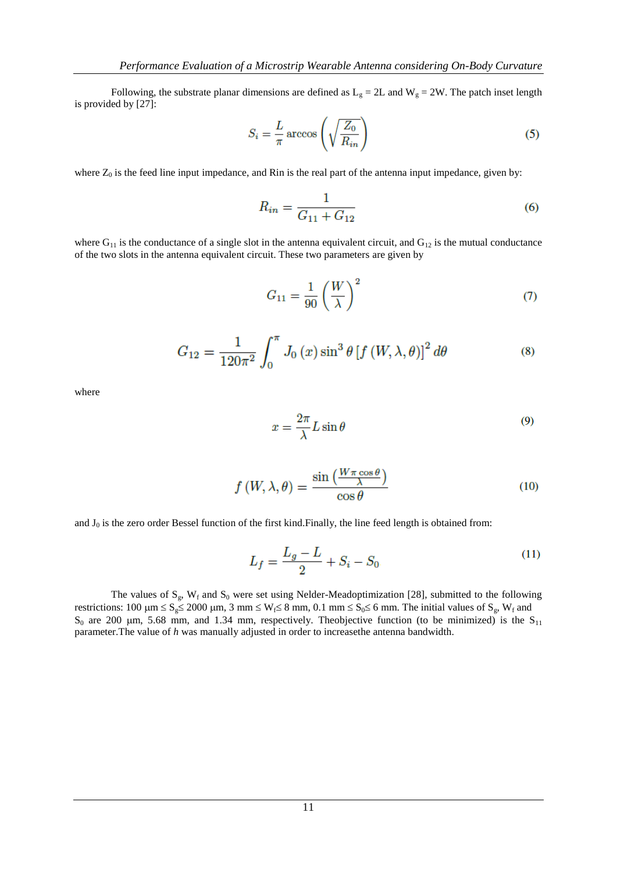Following, the substrate planar dimensions are defined as  $L_g = 2L$  and  $W_g = 2W$ . The patch inset length is provided by [27]:

$$
S_i = \frac{L}{\pi} \arccos\left(\sqrt{\frac{Z_0}{R_{in}}}\right) \tag{5}
$$

where  $Z_0$  is the feed line input impedance, and Rin is the real part of the antenna input impedance, given by:

$$
R_{in} = \frac{1}{G_{11} + G_{12}}\tag{6}
$$

where  $G_{11}$  is the conductance of a single slot in the antenna equivalent circuit, and  $G_{12}$  is the mutual conductance of the two slots in the antenna equivalent circuit. These two parameters are given by

$$
G_{11} = \frac{1}{90} \left(\frac{W}{\lambda}\right)^2 \tag{7}
$$

$$
G_{12} = \frac{1}{120\pi^2} \int_0^\pi J_0(x) \sin^3 \theta \left[ f(W, \lambda, \theta) \right]^2 d\theta \tag{8}
$$

where

$$
x = \frac{2\pi}{\lambda} L \sin \theta \tag{9}
$$

$$
f(W, \lambda, \theta) = \frac{\sin\left(\frac{W\pi\cos\theta}{\lambda}\right)}{\cos\theta} \tag{10}
$$

and  $J_0$  is the zero order Bessel function of the first kind. Finally, the line feed length is obtained from:

$$
L_f = \frac{L_g - L}{2} + S_i - S_0 \tag{11}
$$

The values of  $S_g$ ,  $W_f$  and  $S_0$  were set using Nelder-Meadoptimization [28], submitted to the following restrictions: 100  $\mu$ m  $\leq S_g \leq 2000 \mu$ m, 3 mm  $\leq W_f \leq 8$  mm, 0.1 mm  $\leq S_0 \leq 6$  mm. The initial values of  $S_g$ ,  $W_f$  and  $S_0$  are 200 µm, 5.68 mm, and 1.34 mm, respectively. Theobjective function (to be minimized) is the  $S_{11}$ parameter.The value of *h* was manually adjusted in order to increasethe antenna bandwidth.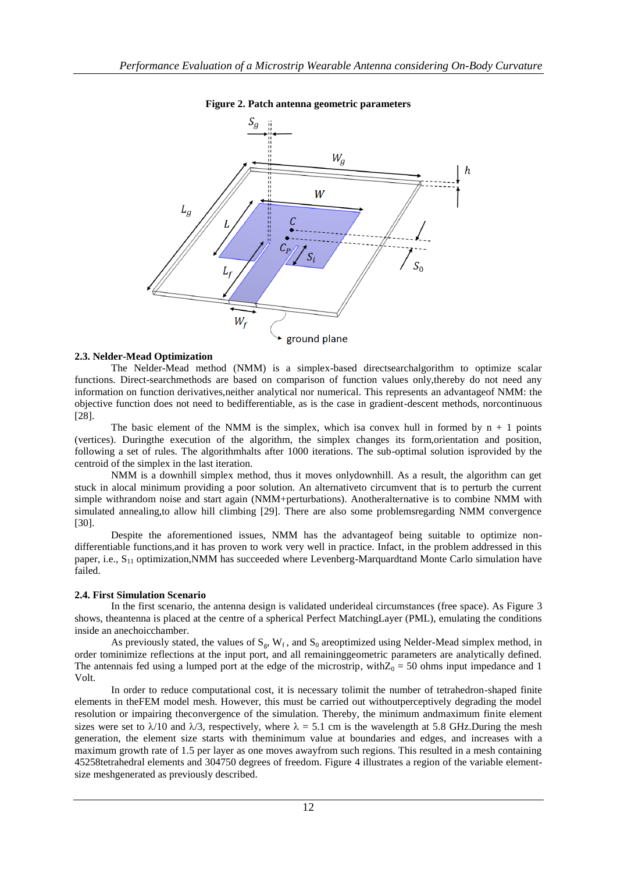

### **Figure 2. Patch antenna geometric parameters**

### **2.3. Nelder-Mead Optimization**

The Nelder-Mead method (NMM) is a simplex-based directsearchalgorithm to optimize scalar functions. Direct-searchmethods are based on comparison of function values only,thereby do not need any information on function derivatives,neither analytical nor numerical. This represents an advantageof NMM: the objective function does not need to bedifferentiable, as is the case in gradient-descent methods, norcontinuous [28].

The basic element of the NMM is the simplex, which is a convex hull in formed by  $n + 1$  points (vertices). Duringthe execution of the algorithm, the simplex changes its form,orientation and position, following a set of rules. The algorithmhalts after 1000 iterations. The sub-optimal solution isprovided by the centroid of the simplex in the last iteration.

NMM is a downhill simplex method, thus it moves onlydownhill. As a result, the algorithm can get stuck in alocal minimum providing a poor solution. An alternativeto circumvent that is to perturb the current simple withrandom noise and start again (NMM+perturbations). Anotheralternative is to combine NMM with simulated annealing,to allow hill climbing [29]. There are also some problemsregarding NMM convergence [30].

Despite the aforementioned issues, NMM has the advantageof being suitable to optimize nondifferentiable functions,and it has proven to work very well in practice. Infact, in the problem addressed in this paper, i.e., S<sub>11</sub> optimization,NMM has succeeded where Levenberg-Marquardtand Monte Carlo simulation have failed.

#### **2.4. First Simulation Scenario**

In the first scenario, the antenna design is validated underideal circumstances (free space). As Figure 3 shows, theantenna is placed at the centre of a spherical Perfect MatchingLayer (PML), emulating the conditions inside an anechoicchamber.

As previously stated, the values of  $S_{\rho}$ ,  $W_{f}$ , and  $S_{0}$  areoptimized using Nelder-Mead simplex method, in order tominimize reflections at the input port, and all remaininggeometric parameters are analytically defined. The antennais fed using a lumped port at the edge of the microstrip, with $Z_0 = 50$  ohms input impedance and 1 Volt.

In order to reduce computational cost, it is necessary tolimit the number of tetrahedron-shaped finite elements in theFEM model mesh. However, this must be carried out withoutperceptively degrading the model resolution or impairing theconvergence of the simulation. Thereby, the minimum andmaximum finite element sizes were set to  $\lambda/10$  and  $\lambda/3$ , respectively, where  $\lambda = 5.1$  cm is the wavelength at 5.8 GHz.During the mesh generation, the element size starts with theminimum value at boundaries and edges, and increases with a maximum growth rate of 1.5 per layer as one moves awayfrom such regions. This resulted in a mesh containing 45258tetrahedral elements and 304750 degrees of freedom. Figure 4 illustrates a region of the variable elementsize meshgenerated as previously described.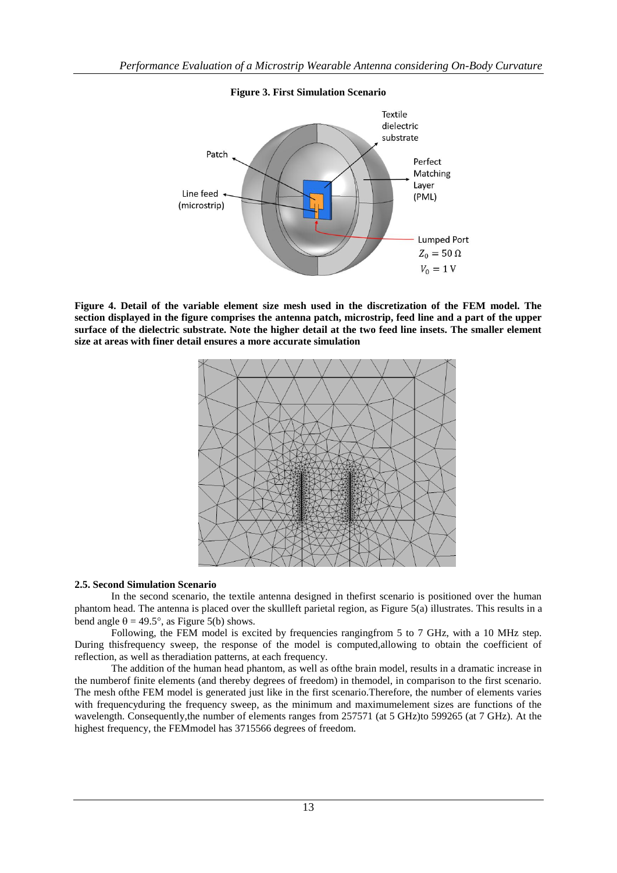

# **Figure 3. First Simulation Scenario**

**Figure 4. Detail of the variable element size mesh used in the discretization of the FEM model. The section displayed in the figure comprises the antenna patch, microstrip, feed line and a part of the upper surface of the dielectric substrate. Note the higher detail at the two feed line insets. The smaller element size at areas with finer detail ensures a more accurate simulation**



# **2.5. Second Simulation Scenario**

In the second scenario, the textile antenna designed in thefirst scenario is positioned over the human phantom head. The antenna is placed over the skullleft parietal region, as Figure 5(a) illustrates. This results in a bend angle  $\theta = 49.5^{\circ}$ , as Figure 5(b) shows.

Following, the FEM model is excited by frequencies rangingfrom 5 to 7 GHz, with a 10 MHz step. During thisfrequency sweep, the response of the model is computed,allowing to obtain the coefficient of reflection, as well as theradiation patterns, at each frequency.

The addition of the human head phantom, as well as ofthe brain model, results in a dramatic increase in the numberof finite elements (and thereby degrees of freedom) in themodel, in comparison to the first scenario. The mesh ofthe FEM model is generated just like in the first scenario.Therefore, the number of elements varies with frequencyduring the frequency sweep, as the minimum and maximumelement sizes are functions of the wavelength. Consequently, the number of elements ranges from 257571 (at 5 GHz) to 599265 (at 7 GHz). At the highest frequency, the FEMmodel has 3715566 degrees of freedom.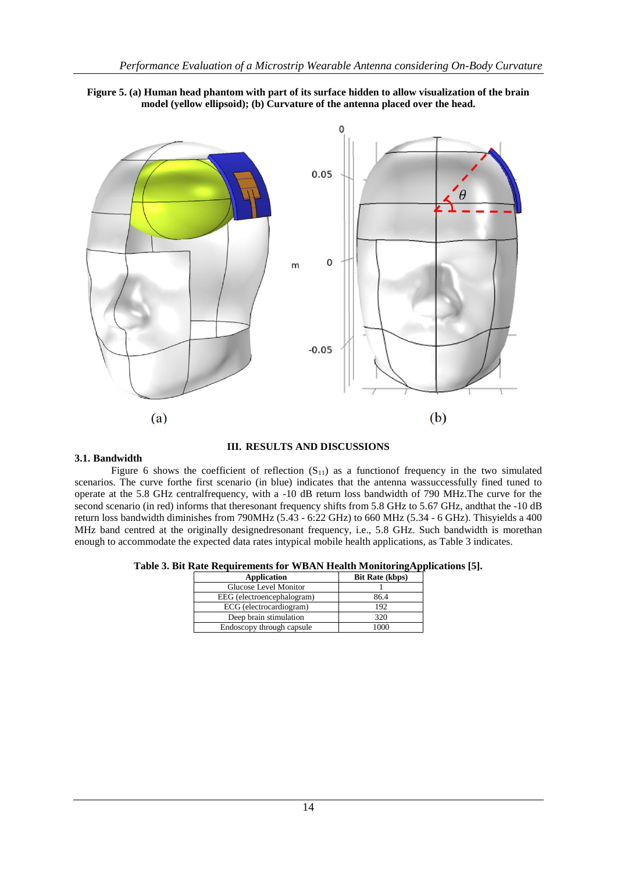



# **III. RESULTS AND DISCUSSIONS**

#### **3.1. Bandwidth**

Figure 6 shows the coefficient of reflection  $(S_{11})$  as a functionof frequency in the two simulated scenarios. The curve forthe first scenario (in blue) indicates that the antenna wassuccessfully fined tuned to operate at the 5.8 GHz centralfrequency, with a -10 dB return loss bandwidth of 790 MHz.The curve for the second scenario (in red) informs that theresonant frequency shifts from 5.8 GHz to 5.67 GHz, andthat the -10 dB return loss bandwidth diminishes from 790MHz (5.43 - 6:22 GHz) to 660 MHz (5.34 - 6 GHz). Thisyields a 400 MHz band centred at the originally designedresonant frequency, i.e., 5.8 GHz. Such bandwidth is morethan enough to accommodate the expected data rates intypical mobile health applications, as Table 3 indicates.

**Table 3. Bit Rate Requirements for WBAN Health MonitoringApplications [5].**

| <b>Application</b>         | <b>Bit Rate (kbps)</b> |
|----------------------------|------------------------|
| Glucose Level Monitor      |                        |
| EEG (electroencephalogram) | 86.4                   |
| ECG (electrocardiogram)    | 192                    |
| Deep brain stimulation     | 320                    |
| Endoscopy through capsule  |                        |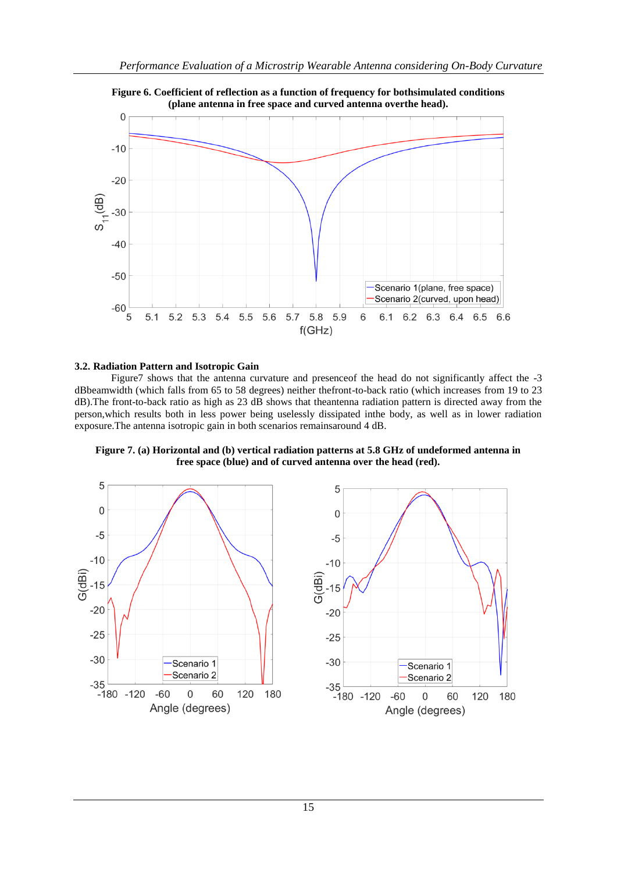

### **3.2. Radiation Pattern and Isotropic Gain**

Figure7 shows that the antenna curvature and presenceof the head do not significantly affect the -3 dBbeamwidth (which falls from 65 to 58 degrees) neither thefront-to-back ratio (which increases from 19 to 23 dB). The front-to-back ratio as high as 23 dB shows that theantenna radiation pattern is directed away from the person,which results both in less power being uselessly dissipated inthe body, as well as in lower radiation exposure.The antenna isotropic gain in both scenarios remainsaround 4 dB.





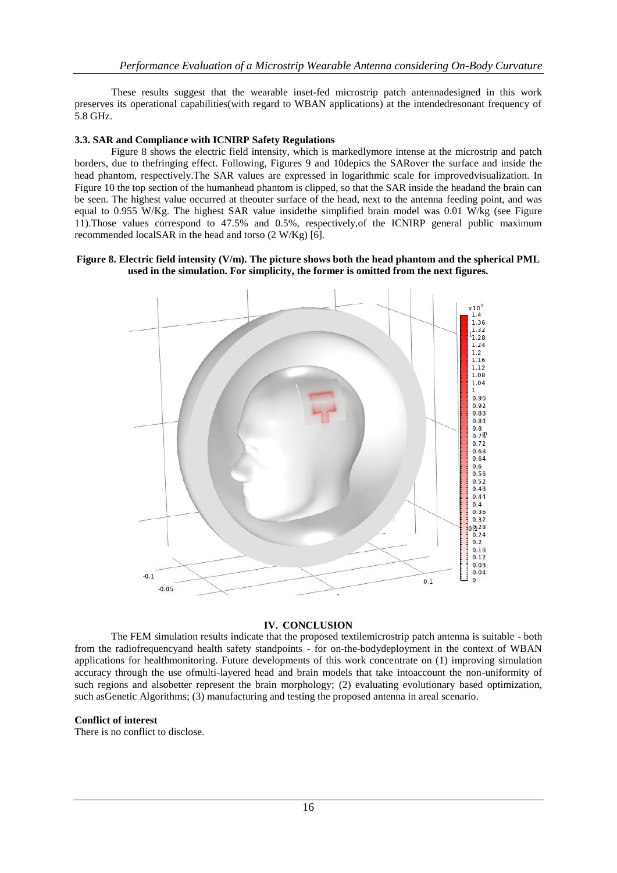These results suggest that the wearable inset-fed microstrip patch antennadesigned in this work preserves its operational capabilities(with regard to WBAN applications) at the intendedresonant frequency of 5.8 GHz.

# **3.3. SAR and Compliance with ICNIRP Safety Regulations**

Figure 8 shows the electric field intensity, which is markedlymore intense at the microstrip and patch borders, due to thefringing effect. Following, Figures 9 and 10depics the SARover the surface and inside the head phantom, respectively.The SAR values are expressed in logarithmic scale for improvedvisualization. In Figure 10 the top section of the humanhead phantom is clipped, so that the SAR inside the headand the brain can be seen. The highest value occurred at theouter surface of the head, next to the antenna feeding point, and was equal to 0.955 W/Kg. The highest SAR value inside the simplified brain model was 0.01 W/kg (see Figure 11).Those values correspond to 47.5% and 0.5%, respectively,of the ICNIRP general public maximum recommended localSAR in the head and torso (2 W/Kg) [6].

# **Figure 8. Electric field intensity (V/m). The picture shows both the head phantom and the spherical PML used in the simulation. For simplicity, the former is omitted from the next figures.**



# **IV. CONCLUSION**

The FEM simulation results indicate that the proposed textilemicrostrip patch antenna is suitable - both from the radiofrequencyand health safety standpoints - for on-the-bodydeployment in the context of WBAN applications for healthmonitoring. Future developments of this work concentrate on (1) improving simulation accuracy through the use ofmulti-layered head and brain models that take intoaccount the non-uniformity of such regions and alsobetter represent the brain morphology; (2) evaluating evolutionary based optimization, such asGenetic Algorithms; (3) manufacturing and testing the proposed antenna in areal scenario.

# **Conflict of interest**

There is no conflict to disclose.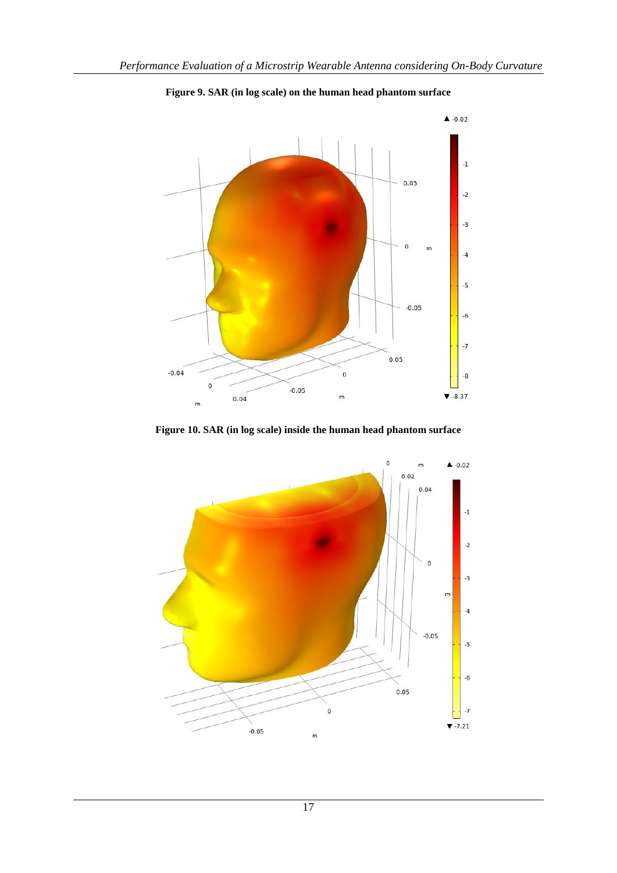

**Figure 9. SAR (in log scale) on the human head phantom surface**

**Figure 10. SAR (in log scale) inside the human head phantom surface**

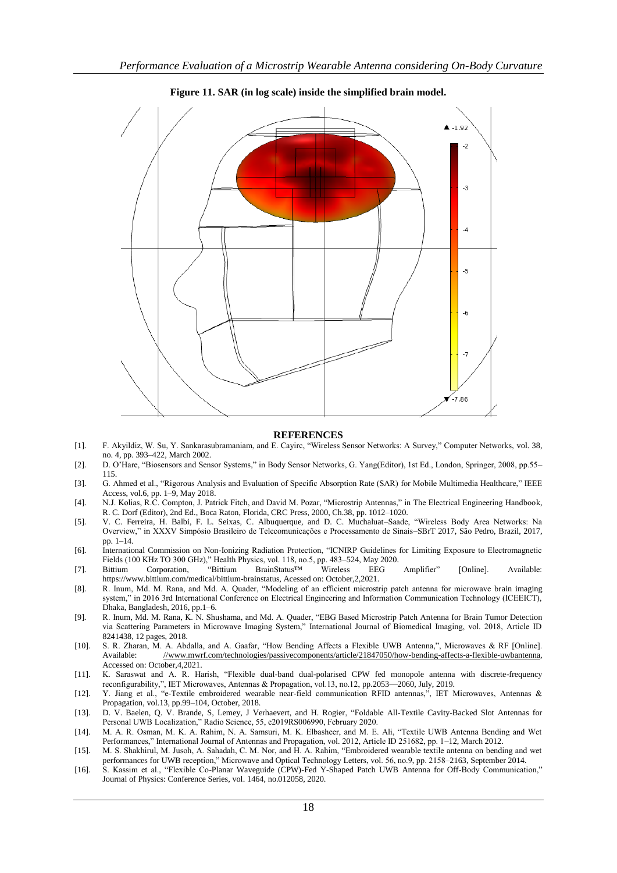

**Figure 11. SAR (in log scale) inside the simplified brain model.**

#### **REFERENCES**

- [1]. F. Akyildiz, W. Su, Y. Sankarasubramaniam, and E. Cayirc, "Wireless Sensor Networks: A Survey," Computer Networks, vol. 38, no. 4, pp. 393–422, March 2002.
- [2]. D. O'Hare, "Biosensors and Sensor Systems," in Body Sensor Networks, G. Yang(Editor), 1st Ed., London, Springer, 2008, pp.55– 115.
- [3]. G. Ahmed et al., "Rigorous Analysis and Evaluation of Specific Absorption Rate (SAR) for Mobile Multimedia Healthcare," IEEE Access, vol.6, pp. 1–9, May 2018.
- [4]. N.J. Kolias, R.C. Compton, J. Patrick Fitch, and David M. Pozar, "Microstrip Antennas," in The Electrical Engineering Handbook, R. C. Dorf (Editor), 2nd Ed., Boca Raton, Florida, CRC Press, 2000, Ch.38, pp. 1012–1020.
- [5]. V. C. Ferreira, H. Balbi, F. L. Seixas, C. Albuquerque, and D. C. Muchaluat-Saade, "Wireless Body Area Networks: Na Overview,‖ in XXXV Simpósio Brasileiro de Telecomunicações e Processamento de Sinais–SBrT 2017, São Pedro, Brazil, 2017, pp. 1–14.
- [6]. International Commission on Non-Ionizing Radiation Protection, "ICNIRP Guidelines for Limiting Exposure to Electromagnetic Fields (100 KHz TO 300 GHz)," Health Physics, vol. 118, no.5, pp. 483–524, May 2020.
- [7]. Bittium Corporation, "Bittium BrainStatus™ Wireless EEG Amplifier" [Online]. Available: https://www.bittium.com/medical/bittium-brainstatus, Acessed on: October,2,2021.
- [8]. R. Inum, Md. M. Rana, and Md. A. Quader, "Modeling of an efficient microstrip patch antenna for microwave brain imaging system," in 2016 3rd International Conference on Electrical Engineering and Information Communication Technology (ICEEICT), Dhaka, Bangladesh, 2016, pp.1–6.
- [9]. R. Inum, Md. M. Rana, K. N. Shushama, and Md. A. Quader, "EBG Based Microstrip Patch Antenna for Brain Tumor Detection via Scattering Parameters in Microwave Imaging System," International Journal of Biomedical Imaging, vol. 2018, Article ID 8241438, 12 pages, 2018.
- [10]. S. R. Zharan, M. A. Abdalla, and A. Gaafar, "How Bending Affects a Flexible UWB Antenna,", Microwaves & RF [Online]. Available: [//www.mwrf.com/technologies/passivecomponents/article/21847050/how-bending-affects-a-flexible-uwbantenna,](https://www.mwrf.com/technologies/passivecomponents/article/21847050/how-bending-affects-a-flexible-uwbantenna)  Accessed on: October,4,2021.
- [11]. K. Saraswat and A. R. Harish, "Flexible dual-band dual-polarised CPW fed monopole antenna with discrete-frequency reconfigurability,", IET Microwaves, Antennas & Propagation, vol.13, no.12, pp.2053-2060, July, 2019.
- [12]. Y. Jiang et al., "e-Textile embroidered wearable near-field communication RFID antennas,", IET Microwaves, Antennas & Propagation, vol.13, pp.99–104, October, 2018.
- [13]. D. V. Baelen, Q. V. Brande, S, Lemey, J Verhaevert, and H. Rogier, "Foldable All-Textile Cavity-Backed Slot Antennas for Personal UWB Localization," Radio Science, 55, e2019RS006990, February 2020.
- [14]. M. A. R. Osman, M. K. A. Rahim, N. A. Samsuri, M. K. Elbasheer, and M. E. Ali, "Textile UWB Antenna Bending and Wet Performances," International Journal of Antennas and Propagation, vol. 2012, Article ID 251682, pp. 1-12, March 2012.
- [15]. M. S. Shakhirul, M. Jusoh, A. Sahadah, C. M. Nor, and H. A. Rahim, "Embroidered wearable textile antenna on bending and wet performances for UWB reception," Microwave and Optical Technology Letters, vol. 56, no.9, pp. 2158–2163, September 2014.
- [16]. S. Kassim et al., "Flexible Co-Planar Waveguide (CPW)-Fed Y-Shaped Patch UWB Antenna for Off-Body Communication," Journal of Physics: Conference Series, vol. 1464, no.012058, 2020.